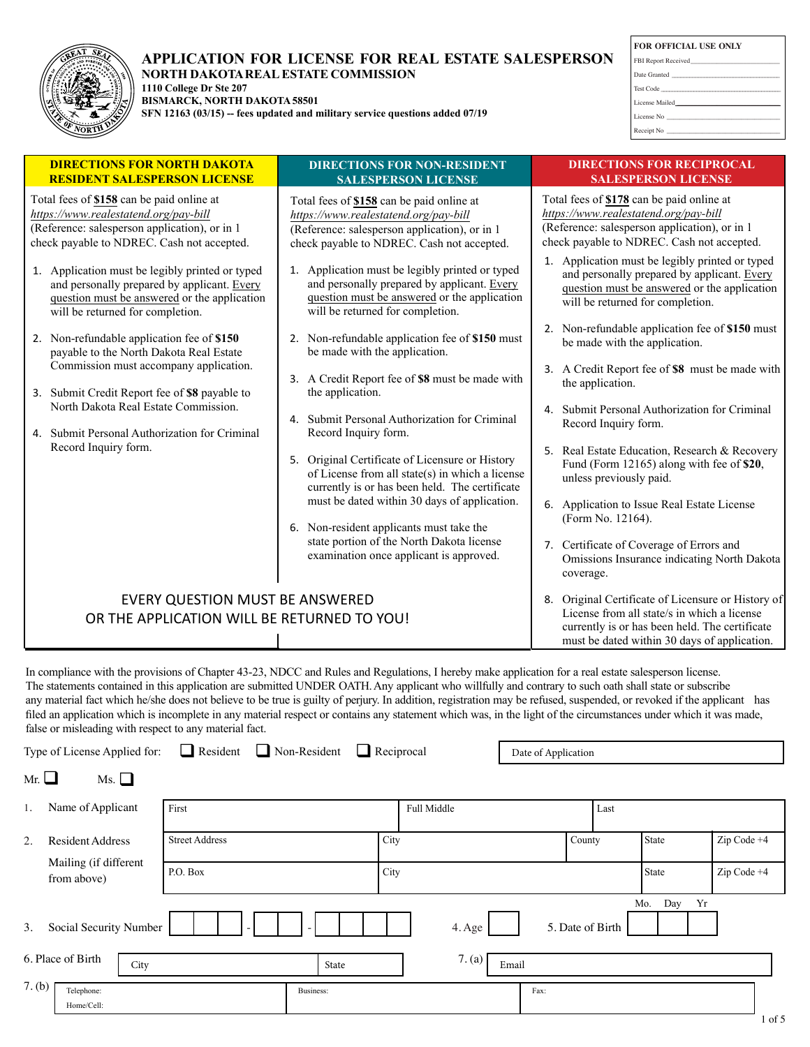

#### **APPLICATION FOR LICENSE FOR REAL ESTATE SALESPERSON NORTH DAKOTA REAL ESTATE COMMISSION 1110 College Dr Ste 207**

**BISMARCK, NORTH DAKOTA58501**

**SFN 12163 (03/15) -- fees updated and military service questions added 07/19**

| <b>FOR OFFICIAL USE ONLY</b>                                                                                                                                                                                                  |
|-------------------------------------------------------------------------------------------------------------------------------------------------------------------------------------------------------------------------------|
|                                                                                                                                                                                                                               |
|                                                                                                                                                                                                                               |
| Test Code                                                                                                                                                                                                                     |
| License Mailed Manual Art and Art and Art and Art and Art and Art and Art and Art and Art and Art and Art and                                                                                                                 |
|                                                                                                                                                                                                                               |
|                                                                                                                                                                                                                               |
| the control of the control of the control of the control of the control of the control of the control of the control of the control of the control of the control of the control of the control of the control of the control |

| Total fees of \$178 can be paid online at<br>https://www.realestatend.org/pay-bill<br>(Reference: salesperson application), or in 1<br>check payable to NDREC. Cash not accepted.<br>1. Application must be legibly printed or typed<br>and personally prepared by applicant. Every<br>question must be answered or the application<br>will be returned for completion. |
|-------------------------------------------------------------------------------------------------------------------------------------------------------------------------------------------------------------------------------------------------------------------------------------------------------------------------------------------------------------------------|
|                                                                                                                                                                                                                                                                                                                                                                         |
|                                                                                                                                                                                                                                                                                                                                                                         |
| 2. Non-refundable application fee of \$150 must<br>be made with the application.                                                                                                                                                                                                                                                                                        |
| 3. A Credit Report fee of \$8 must be made with                                                                                                                                                                                                                                                                                                                         |
| Submit Personal Authorization for Criminal<br>Record Inquiry form.                                                                                                                                                                                                                                                                                                      |
| 5. Real Estate Education, Research & Recovery<br>Fund (Form 12165) along with fee of \$20,<br>unless previously paid.                                                                                                                                                                                                                                                   |
| 6. Application to Issue Real Estate License<br>(Form No. 12164).                                                                                                                                                                                                                                                                                                        |
| 7. Certificate of Coverage of Errors and<br>Omissions Insurance indicating North Dakota                                                                                                                                                                                                                                                                                 |
| 8. Original Certificate of Licensure or History of<br>License from all state/s in which a license<br>currently is or has been held. The certificate<br>must be dated within 30 days of application.                                                                                                                                                                     |
|                                                                                                                                                                                                                                                                                                                                                                         |

In compliance with the provisions of Chapter 43-23, NDCC and Rules and Regulations, I hereby make application for a real estate salesperson license. The statements contained in this application are submitted UNDER OATH. Any applicant who willfully and contrary to such oath shall state or subscribe any material fact which he/she does not believe to be true is guilty of perjury. In addition, registration may be refused, suspended, or revoked if the applicant has filed an application which is incomplete in any material respect or contains any statement which was, in the light of the circumstances under which it was made, false or misleading with respect to any material fact.

|            | □<br>Reciprocal<br>$\Box$ Non-Resident<br>Resident<br>Type of License Applied for:<br>Date of Application |                       |           |             |       |                  |       |           |             |  |
|------------|-----------------------------------------------------------------------------------------------------------|-----------------------|-----------|-------------|-------|------------------|-------|-----------|-------------|--|
| Mr. $\Box$ | Ms.                                                                                                       |                       |           |             |       |                  |       |           |             |  |
| 1.         | Name of Applicant                                                                                         | First                 |           | Full Middle |       |                  | Last  |           |             |  |
| 2.         | <b>Resident Address</b>                                                                                   | <b>Street Address</b> |           | City        |       | County           | State |           | Zip Code +4 |  |
|            | Mailing (if different<br>from above)                                                                      | P.O. Box              |           | City        |       |                  | State |           | Zip Code +4 |  |
| 3.         | Social Security Number                                                                                    |                       |           | 4. Age      |       | 5. Date of Birth | Mo.   | Yr<br>Day |             |  |
|            | 6. Place of Birth<br>City                                                                                 |                       | State     | 7. (a)      | Email |                  |       |           |             |  |
| 7. (b)     | Telephone:<br>Home/Cell:                                                                                  |                       | Business: |             | Fax:  |                  |       |           |             |  |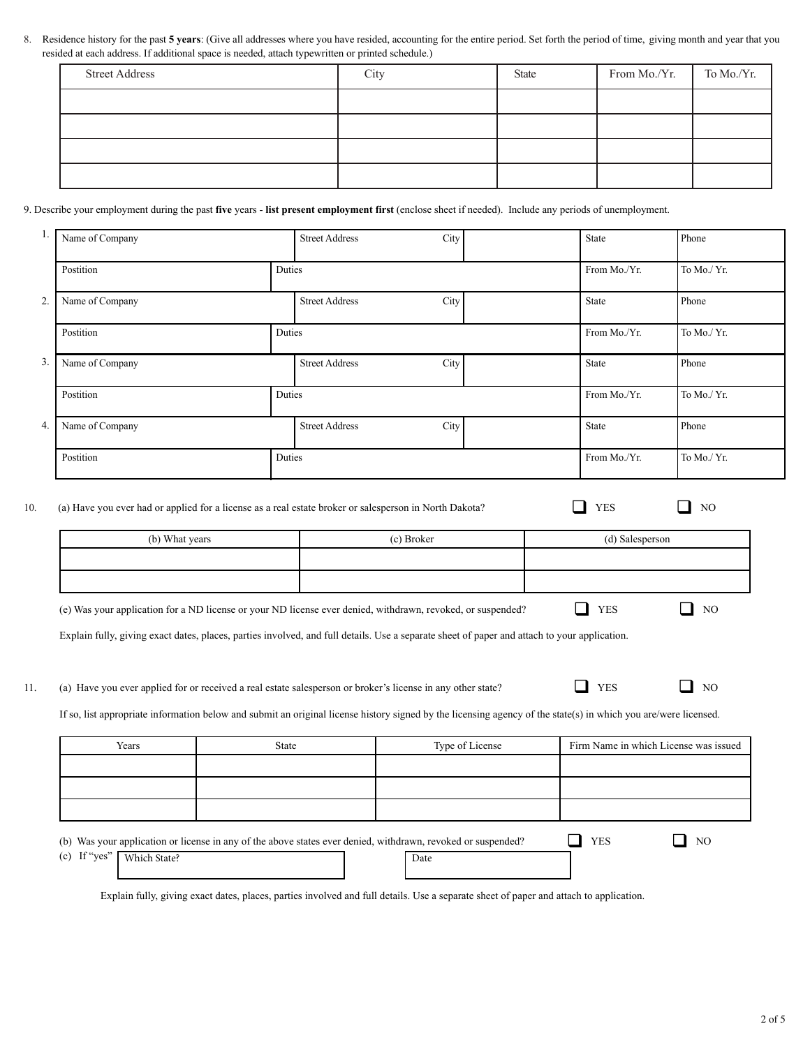8. Residence history for the past **5 years**: (Give all addresses where you have resided, accounting for the entire period. Set forth the period of time, giving month and year that you resided at each address. If additional space is needed, attach typewritten or printed schedule.)

| <b>Street Address</b> | City | State | From Mo./Yr. | To Mo./Yr. |
|-----------------------|------|-------|--------------|------------|
|                       |      |       |              |            |
|                       |      |       |              |            |
|                       |      |       |              |            |
|                       |      |       |              |            |

#### 9. Describe your employment during the past **five** years - **list present employment first** (enclose sheet if needed). Include any periods of unemployment.

| -1. | Name of Company |        | <b>Street Address</b> | City | State        | Phone       |
|-----|-----------------|--------|-----------------------|------|--------------|-------------|
|     | Postition       | Duties |                       |      | From Mo./Yr. | To Mo./ Yr. |
| 2.  | Name of Company |        | <b>Street Address</b> | City | State        | Phone       |
|     | Postition       | Duties |                       |      | From Mo./Yr. | To Mo./ Yr. |
| 3.  | Name of Company |        | <b>Street Address</b> | City | State        | Phone       |
|     | Postition       | Duties |                       |      | From Mo./Yr. | To Mo./ Yr. |
| 4.  | Name of Company |        | <b>Street Address</b> | City | State        | Phone       |
|     | Postition       | Duties |                       |      | From Mo./Yr. | To Mo./ Yr. |

10. (a) Have you ever had or applied for a license as a real estate broker or salesperson in North Dakota? YES YES NO

| (b) What years | (c) Broker | (d) Salesperson |
|----------------|------------|-----------------|
|                |            |                 |
|                |            |                 |

(e) Was your application for a ND license or your ND license ever denied, withdrawn, revoked, or suspended?  $\Box$  YES  $\Box$  NO

Explain fully, giving exact dates, places, parties involved, and full details. Use a separate sheet of paper and attach to your application.

11. (a) Have you ever applied for or received a real estate salesperson or broker's license in any other state?  $\Box$  YES  $\Box$  NO

If so, list appropriate information below and submit an original license history signed by the licensing agency of the state(s) in which you are/were licensed.

| Years                     | State                                                                                                        | Type of License | Firm Name in which License was issued |
|---------------------------|--------------------------------------------------------------------------------------------------------------|-----------------|---------------------------------------|
|                           |                                                                                                              |                 |                                       |
|                           |                                                                                                              |                 |                                       |
|                           |                                                                                                              |                 |                                       |
|                           | (b) Was your application or license in any of the above states ever denied, withdrawn, revoked or suspended? |                 | <b>YES</b><br>NO.                     |
| (c) If "yes" Which State? |                                                                                                              | Date            |                                       |

Explain fully, giving exact dates, places, parties involved and full details. Use a separate sheet of paper and attach to application.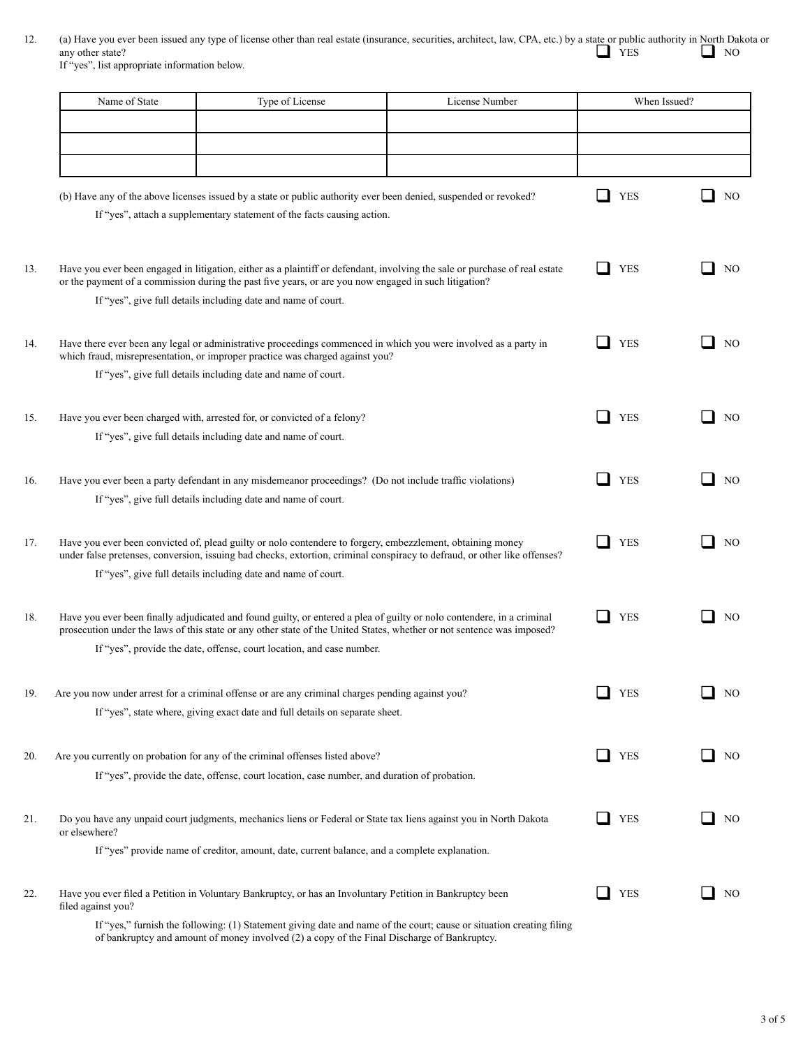12. (a) Have you ever been issued any type of license other than real estate (insurance, securities, architect, law, CPA, etc.) by a state or public authority in North Dakota or any other state?<br>
NO If "yes", list appropriate information below.

|     | Name of State<br>Type of License<br>License Number |                                                                                                                                                                                                                                                                                                       | When Issued? |            |                |  |
|-----|----------------------------------------------------|-------------------------------------------------------------------------------------------------------------------------------------------------------------------------------------------------------------------------------------------------------------------------------------------------------|--------------|------------|----------------|--|
|     |                                                    |                                                                                                                                                                                                                                                                                                       |              |            |                |  |
|     |                                                    |                                                                                                                                                                                                                                                                                                       |              |            |                |  |
|     |                                                    |                                                                                                                                                                                                                                                                                                       |              |            |                |  |
|     |                                                    | (b) Have any of the above licenses issued by a state or public authority ever been denied, suspended or revoked?<br>If "yes", attach a supplementary statement of the facts causing action.                                                                                                           |              | <b>YES</b> | NO             |  |
| 13. |                                                    | Have you ever been engaged in litigation, either as a plaintiff or defendant, involving the sale or purchase of real estate<br>or the payment of a commission during the past five years, or are you now engaged in such litigation?<br>If "yes", give full details including date and name of court. |              | <b>YES</b> | NO             |  |
|     |                                                    |                                                                                                                                                                                                                                                                                                       |              |            |                |  |
| 14. |                                                    | Have there ever been any legal or administrative proceedings commenced in which you were involved as a party in<br>which fraud, misrepresentation, or improper practice was charged against you?<br>If "yes", give full details including date and name of court.                                     |              | <b>YES</b> | N <sub>O</sub> |  |
|     |                                                    |                                                                                                                                                                                                                                                                                                       |              |            |                |  |
| 15. |                                                    | Have you ever been charged with, arrested for, or convicted of a felony?<br>If "yes", give full details including date and name of court.                                                                                                                                                             |              | <b>YES</b> | N <sub>O</sub> |  |
|     |                                                    |                                                                                                                                                                                                                                                                                                       |              |            |                |  |
| 16. |                                                    | Have you ever been a party defendant in any misdemeanor proceedings? (Do not include traffic violations)                                                                                                                                                                                              |              | <b>YES</b> | N <sub>O</sub> |  |
|     |                                                    | If "yes", give full details including date and name of court.                                                                                                                                                                                                                                         |              |            |                |  |
| 17. |                                                    | Have you ever been convicted of, plead guilty or nolo contendere to forgery, embezzlement, obtaining money<br>under false pretenses, conversion, issuing bad checks, extortion, criminal conspiracy to defraud, or other like offenses?                                                               |              | <b>YES</b> | NO             |  |
|     |                                                    | If "yes", give full details including date and name of court.                                                                                                                                                                                                                                         |              |            |                |  |
| 18. |                                                    | Have you ever been finally adjudicated and found guilty, or entered a plea of guilty or nolo contendere, in a criminal<br>prosecution under the laws of this state or any other state of the United States, whether or not sentence was imposed?                                                      |              | <b>YES</b> | N <sub>O</sub> |  |
|     |                                                    | If "yes", provide the date, offense, court location, and case number.                                                                                                                                                                                                                                 |              |            |                |  |
| 19. |                                                    | Are you now under arrest for a criminal offense or are any criminal charges pending against you?<br>If "yes", state where, giving exact date and full details on separate sheet.                                                                                                                      |              | <b>YES</b> | NO             |  |
|     |                                                    |                                                                                                                                                                                                                                                                                                       |              |            |                |  |
| 20. |                                                    | Are you currently on probation for any of the criminal offenses listed above?<br>If "yes", provide the date, offense, court location, case number, and duration of probation.                                                                                                                         |              | <b>YES</b> | NO             |  |
|     |                                                    |                                                                                                                                                                                                                                                                                                       |              |            |                |  |
| 21. | or elsewhere?                                      | Do you have any unpaid court judgments, mechanics liens or Federal or State tax liens against you in North Dakota                                                                                                                                                                                     |              | <b>YES</b> | N <sub>O</sub> |  |
|     |                                                    | If "yes" provide name of creditor, amount, date, current balance, and a complete explanation.                                                                                                                                                                                                         |              |            |                |  |
| 22. | filed against you?                                 | Have you ever filed a Petition in Voluntary Bankruptcy, or has an Involuntary Petition in Bankruptcy been                                                                                                                                                                                             |              | <b>YES</b> | N <sub>O</sub> |  |
|     |                                                    | If "yes," furnish the following: (1) Statement giving date and name of the court; cause or situation creating filing                                                                                                                                                                                  |              |            |                |  |

of bankruptcy and amount of money involved (2) a copy of the Final Discharge of Bankruptcy.

3 of 5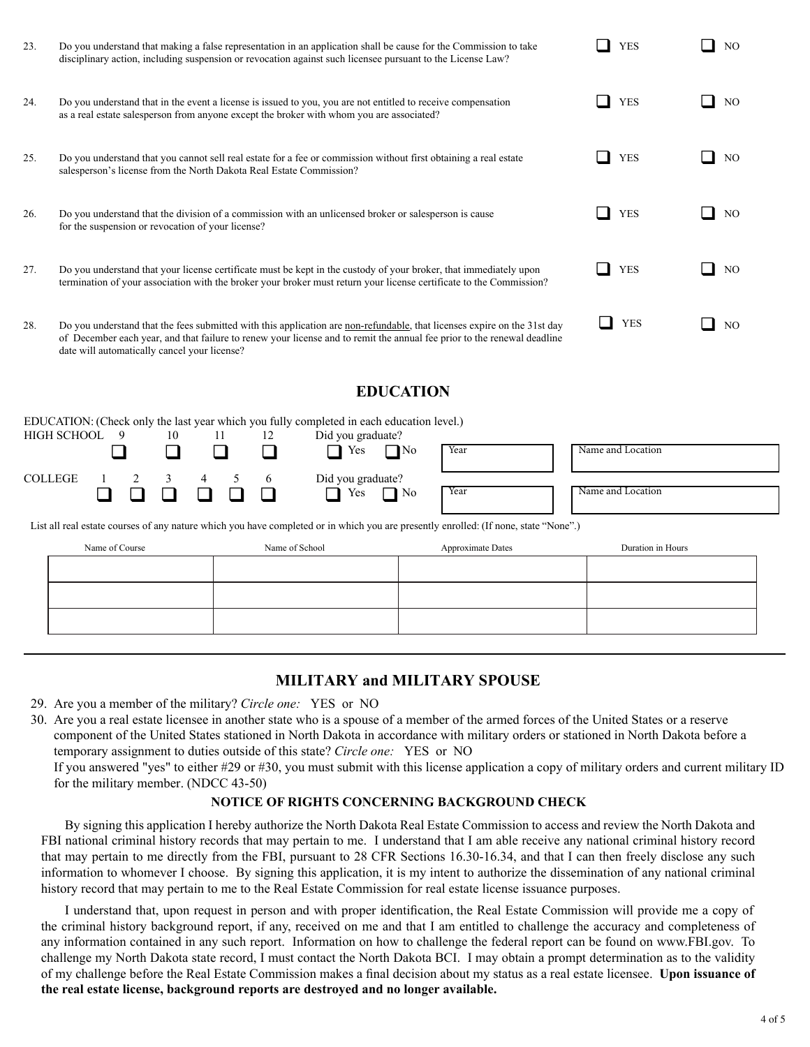| 23. | Do you understand that making a false representation in an application shall be cause for the Commission to take<br>disciplinary action, including suspension or revocation against such licensee pursuant to the License Law?                                                                      | <b>YES</b> | NO. |
|-----|-----------------------------------------------------------------------------------------------------------------------------------------------------------------------------------------------------------------------------------------------------------------------------------------------------|------------|-----|
| 24. | Do you understand that in the event a license is issued to you, you are not entitled to receive compensation<br>as a real estate salesperson from anyone except the broker with whom you are associated?                                                                                            | <b>YES</b> | NO. |
| 25. | Do you understand that you cannot sell real estate for a fee or commission without first obtaining a real estate<br>salesperson's license from the North Dakota Real Estate Commission?                                                                                                             | <b>YES</b> | NO. |
| 26. | Do you understand that the division of a commission with an unlicensed broker or salesperson is cause<br>for the suspension or revocation of your license?                                                                                                                                          | <b>YES</b> | NO. |
| 27. | Do you understand that your license certificate must be kept in the custody of your broker, that immediately upon<br>termination of your association with the broker your broker must return your license certificate to the Commission?                                                            | <b>YES</b> | NO. |
| 28. | Do you understand that the fees submitted with this application are non-refundable, that licenses expire on the 31st day<br>of December each year, and that failure to renew your license and to remit the annual fee prior to the renewal deadline<br>date will automatically cancel your license? | <b>YES</b> | NO. |

## **EDUCATION**

|                                                                                                                                      |  |  |    |     |     |    | EDUCATION: (Check only the last year which you fully completed in each education level.) |      |                   |
|--------------------------------------------------------------------------------------------------------------------------------------|--|--|----|-----|-----|----|------------------------------------------------------------------------------------------|------|-------------------|
| HIGH SCHOOL 9                                                                                                                        |  |  | 10 | -11 |     | 12 | Did you graduate?                                                                        |      |                   |
|                                                                                                                                      |  |  |    |     |     |    | $\bigcap$ Yes<br>$\Box$ No                                                               | Year | Name and Location |
| COLLEGE                                                                                                                              |  |  |    | 4   | 5 6 |    | Did you graduate?                                                                        |      |                   |
|                                                                                                                                      |  |  |    |     |     |    | Yes<br>$\Box$ No                                                                         | Year | Name and Location |
| List all real estate courses of any nature which you have completed or in which you are presently enrolled: (If none, state "None".) |  |  |    |     |     |    |                                                                                          |      |                   |

| Name of Course | Name of School | Approximate Dates | Duration in Hours |
|----------------|----------------|-------------------|-------------------|
|                |                |                   |                   |
|                |                |                   |                   |
|                |                |                   |                   |
|                |                |                   |                   |
|                |                |                   |                   |

# **MILITARY and MILITARY SPOUSE**

29. Are you a member of the military? *Circle one:* YES or NO

30. Are you a real estate licensee in another state who is a spouse of a member of the armed forces of the United States or a reserve component of the United States stationed in North Dakota in accordance with military orders or stationed in North Dakota before a temporary assignment to duties outside of this state? *Circle one:* YES or NO If you answered "yes" to either #29 or #30, you must submit with this license application a copy of military orders and current military ID for the military member. (NDCC 43-50)

### **NOTICE OF RIGHTS CONCERNING BACKGROUND CHECK**

By signing this application I hereby authorize the North Dakota Real Estate Commission to access and review the North Dakota and FBI national criminal history records that may pertain to me. I understand that I am able receive any national criminal history record that may pertain to me directly from the FBI, pursuant to 28 CFR Sections 16.30-16.34, and that I can then freely disclose any such information to whomever I choose. By signing this application, it is my intent to authorize the dissemination of any national criminal history record that may pertain to me to the Real Estate Commission for real estate license issuance purposes.

I understand that, upon request in person and with proper identification, the Real Estate Commission will provide me a copy of the criminal history background report, if any, received on me and that I am entitled to challenge the accuracy and completeness of any information contained in any such report. Information on how to challenge the federal report can be found on www.FBI.gov. To challenge my North Dakota state record, I must contact the North Dakota BCI. I may obtain a prompt determination as to the validity of my challenge before the Real Estate Commission makes a final decision about my status as a real estate licensee. **Upon issuance of the real estate license, background reports are destroyed and no longer available.**